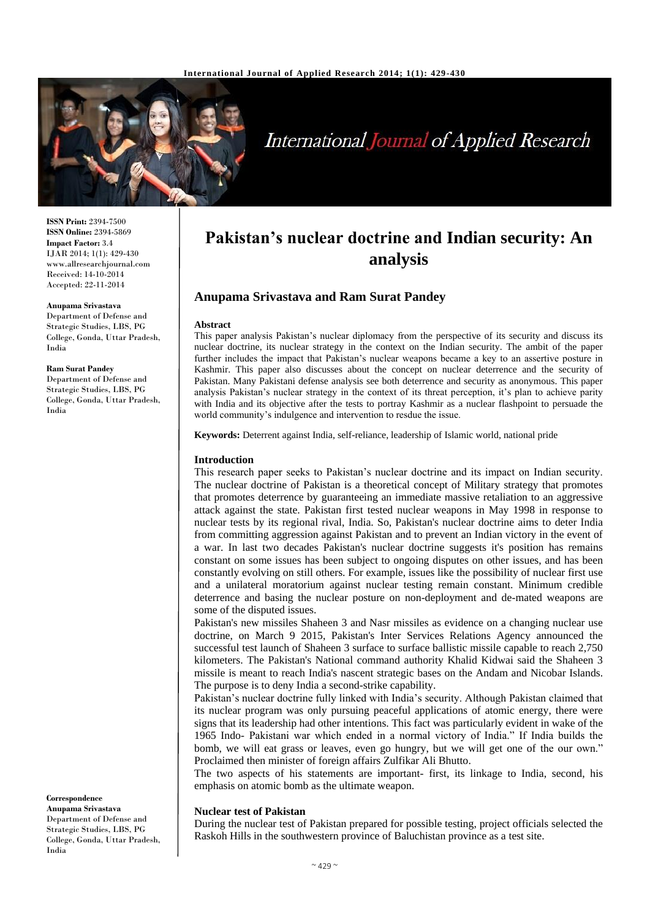

# **International Journal of Applied Research**

**ISSN Print:** 2394-7500 **ISSN Online:** 2394-5869 **Impact Factor:** 3.4 IJAR 2014; 1(1): 429-430 www.allresearchjournal.com Received: 14-10-2014 Accepted: 22-11-2014

**Anupama Srivastava** Department of Defense and Strategic Studies, LBS, PG College, Gonda, Uttar Pradesh, India

#### **Ram Surat Pandey**

Department of Defense and Strategic Studies, LBS, PG College, Gonda, Uttar Pradesh, India

#### **Correspondence Anupama Srivastava**

Department of Defense and Strategic Studies, LBS, PG College, Gonda, Uttar Pradesh, India

## **Pakistan's nuclear doctrine and Indian security: An analysis**

## **Anupama Srivastava and Ram Surat Pandey**

#### **Abstract**

This paper analysis Pakistan's nuclear diplomacy from the perspective of its security and discuss its nuclear doctrine, its nuclear strategy in the context on the Indian security. The ambit of the paper further includes the impact that Pakistan's nuclear weapons became a key to an assertive posture in Kashmir. This paper also discusses about the concept on nuclear deterrence and the security of Pakistan. Many Pakistani defense analysis see both deterrence and security as anonymous. This paper analysis Pakistan's nuclear strategy in the context of its threat perception, it's plan to achieve parity with India and its objective after the tests to portray Kashmir as a nuclear flashpoint to persuade the world community's indulgence and intervention to resdue the issue.

**Keywords:** Deterrent against India, self-reliance, leadership of Islamic world, national pride

#### **Introduction**

This research paper seeks to Pakistan's nuclear doctrine and its impact on Indian security. The nuclear doctrine of Pakistan is a theoretical concept of Military strategy that promotes that promotes deterrence by guaranteeing an immediate massive retaliation to an aggressive attack against the state. Pakistan first tested nuclear weapons in May 1998 in response to nuclear tests by its regional rival, India. So, Pakistan's nuclear doctrine aims to deter India from committing aggression against Pakistan and to prevent an Indian victory in the event of a war. In last two decades Pakistan's nuclear doctrine suggests it's position has remains constant on some issues has been subject to ongoing disputes on other issues, and has been constantly evolving on still others. For example, issues like the possibility of nuclear first use and a unilateral moratorium against nuclear testing remain constant. Minimum credible deterrence and basing the nuclear posture on non-deployment and de-mated weapons are some of the disputed issues.

Pakistan's new missiles Shaheen 3 and Nasr missiles as evidence on a changing nuclear use doctrine, on March 9 2015, Pakistan's Inter Services Relations Agency announced the successful test launch of Shaheen 3 surface to surface ballistic missile capable to reach 2,750 kilometers. The Pakistan's National command authority Khalid Kidwai said the Shaheen 3 missile is meant to reach India's nascent strategic bases on the Andam and Nicobar Islands. The purpose is to deny India a second-strike capability.

Pakistan's nuclear doctrine fully linked with India's security. Although Pakistan claimed that its nuclear program was only pursuing peaceful applications of atomic energy, there were signs that its leadership had other intentions. This fact was particularly evident in wake of the 1965 Indo- Pakistani war which ended in a normal victory of India." If India builds the bomb, we will eat grass or leaves, even go hungry, but we will get one of the our own." Proclaimed then minister of foreign affairs Zulfikar Ali Bhutto.

The two aspects of his statements are important- first, its linkage to India, second, his emphasis on atomic bomb as the ultimate weapon.

#### **Nuclear test of Pakistan**

During the nuclear test of Pakistan prepared for possible testing, project officials selected the Raskoh Hills in the southwestern province of Baluchistan province as a test site.